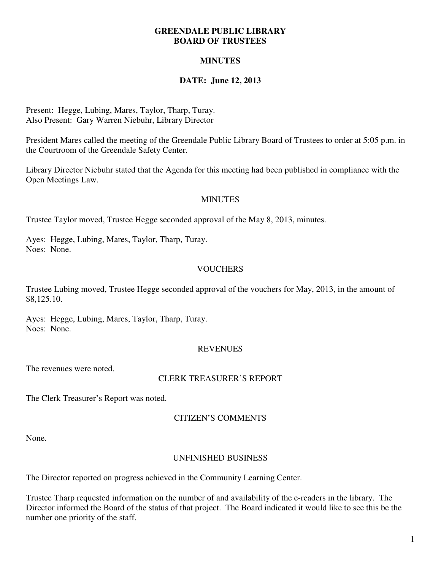#### **GREENDALE PUBLIC LIBRARY BOARD OF TRUSTEES**

# **MINUTES**

# **DATE: June 12, 2013**

Present: Hegge, Lubing, Mares, Taylor, Tharp, Turay. Also Present: Gary Warren Niebuhr, Library Director

President Mares called the meeting of the Greendale Public Library Board of Trustees to order at 5:05 p.m. in the Courtroom of the Greendale Safety Center.

Library Director Niebuhr stated that the Agenda for this meeting had been published in compliance with the Open Meetings Law.

### **MINUTES**

Trustee Taylor moved, Trustee Hegge seconded approval of the May 8, 2013, minutes.

Ayes: Hegge, Lubing, Mares, Taylor, Tharp, Turay. Noes: None.

## **VOUCHERS**

Trustee Lubing moved, Trustee Hegge seconded approval of the vouchers for May, 2013, in the amount of \$8,125.10.

Ayes: Hegge, Lubing, Mares, Taylor, Tharp, Turay. Noes: None.

## **REVENUES**

The revenues were noted.

#### CLERK TREASURER'S REPORT

The Clerk Treasurer's Report was noted.

## CITIZEN'S COMMENTS

None.

## UNFINISHED BUSINESS

The Director reported on progress achieved in the Community Learning Center.

Trustee Tharp requested information on the number of and availability of the e-readers in the library. The Director informed the Board of the status of that project. The Board indicated it would like to see this be the number one priority of the staff.